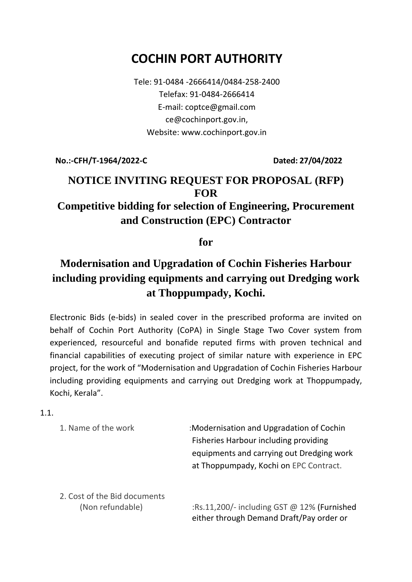# **COCHIN PORT AUTHORITY**

Tele: 91-0484 -2666414/0484-258-2400 Telefax: 91-0484-2666414 E-mail: coptce@gmail.com ce@cochinport.gov.in, Website: www.cochinport.gov.in

**No.:-CFH/T-1964/2022-C Dated: 27/04/2022**

## **NOTICE INVITING REQUEST FOR PROPOSAL (RFP) FOR Competitive bidding for selection of Engineering, Procurement**

## **and Construction (EPC) Contractor**

#### **for**

## **Modernisation and Upgradation of Cochin Fisheries Harbour including providing equipments and carrying out Dredging work at Thoppumpady, Kochi.**

Electronic Bids (e-bids) in sealed cover in the prescribed proforma are invited on behalf of Cochin Port Authority (CoPA) in Single Stage Two Cover system from experienced, resourceful and bonafide reputed firms with proven technical and financial capabilities of executing project of similar nature with experience in EPC project, for the work of "Modernisation and Upgradation of Cochin Fisheries Harbour including providing equipments and carrying out Dredging work at Thoppumpady, Kochi, Kerala".

1.1.

1. Name of the work :Modernisation and Upgradation of Cochin Fisheries Harbour including providing equipments and carrying out Dredging work at Thoppumpady, Kochi on EPC Contract.

2. Cost of the Bid documents

 (Non refundable) :Rs.11,200/- including GST @ 12% (Furnished either through Demand Draft/Pay order or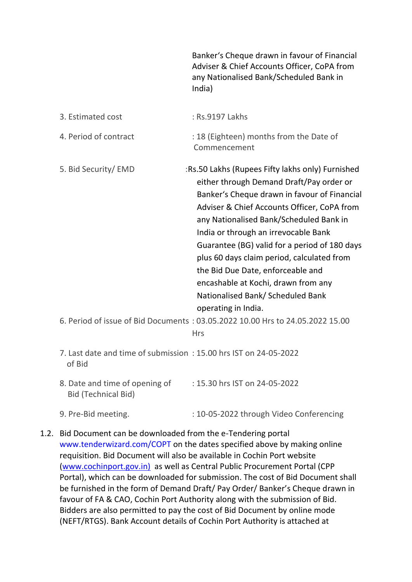|                                                                            | Banker's Cheque drawn in favour of Financial<br>Adviser & Chief Accounts Officer, CoPA from<br>any Nationalised Bank/Scheduled Bank in<br>India)                                                                                                                                                                                                                                                                                                                                                                                                                                                       |
|----------------------------------------------------------------------------|--------------------------------------------------------------------------------------------------------------------------------------------------------------------------------------------------------------------------------------------------------------------------------------------------------------------------------------------------------------------------------------------------------------------------------------------------------------------------------------------------------------------------------------------------------------------------------------------------------|
| 3. Estimated cost                                                          | : Rs.9197 Lakhs                                                                                                                                                                                                                                                                                                                                                                                                                                                                                                                                                                                        |
| 4. Period of contract                                                      | : 18 (Eighteen) months from the Date of<br>Commencement                                                                                                                                                                                                                                                                                                                                                                                                                                                                                                                                                |
| 5. Bid Security/EMD                                                        | :Rs.50 Lakhs (Rupees Fifty lakhs only) Furnished<br>either through Demand Draft/Pay order or<br>Banker's Cheque drawn in favour of Financial<br>Adviser & Chief Accounts Officer, CoPA from<br>any Nationalised Bank/Scheduled Bank in<br>India or through an irrevocable Bank<br>Guarantee (BG) valid for a period of 180 days<br>plus 60 days claim period, calculated from<br>the Bid Due Date, enforceable and<br>encashable at Kochi, drawn from any<br>Nationalised Bank/ Scheduled Bank<br>operating in India.<br>6. Period of issue of Bid Documents: 03.05.2022 10.00 Hrs to 24.05.2022 15.00 |
|                                                                            | <b>Hrs</b>                                                                                                                                                                                                                                                                                                                                                                                                                                                                                                                                                                                             |
| 7. Last date and time of submission: 15.00 hrs IST on 24-05-2022<br>of Bid |                                                                                                                                                                                                                                                                                                                                                                                                                                                                                                                                                                                                        |
| 8. Date and time of opening of<br><b>Bid (Technical Bid)</b>               | : 15.30 hrs IST on 24-05-2022                                                                                                                                                                                                                                                                                                                                                                                                                                                                                                                                                                          |
| 9. Pre-Bid meeting.                                                        | : 10-05-2022 through Video Conferencing                                                                                                                                                                                                                                                                                                                                                                                                                                                                                                                                                                |

1.2. Bid Document can be downloaded from the e-Tendering portal www.tenderwizard.com/COPT on the dates specified above by making online requisition. Bid Document will also be available in Cochin Port website [\(www.cochinport.gov.in\)](http://www.cochinport.gov.in)/) as well as Central Public Procurement Portal (CPP Portal), which can be downloaded for submission. The cost of Bid Document shall be furnished in the form of Demand Draft/ Pay Order/ Banker's Cheque drawn in favour of FA & CAO, Cochin Port Authority along with the submission of Bid. Bidders are also permitted to pay the cost of Bid Document by online mode (NEFT/RTGS). Bank Account details of Cochin Port Authority is attached at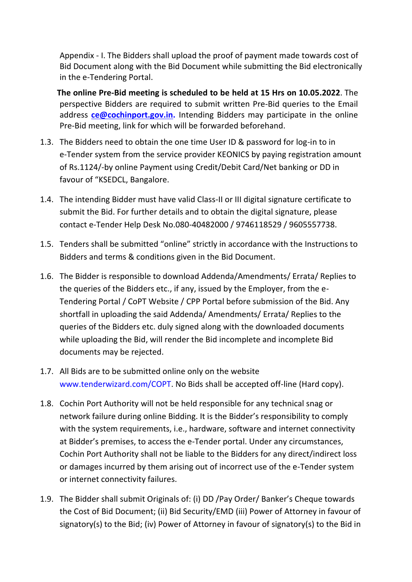Appendix - I. The Bidders shall upload the proof of payment made towards cost of Bid Document along with the Bid Document while submitting the Bid electronically in the e-Tendering Portal.

 **The online Pre-Bid meeting is scheduled to be held at 15 Hrs on 10.05.2022**. The perspective Bidders are required to submit written Pre-Bid queries to the Email address **[ce@cochinport.gov.in.](mailto:ce@cochinport.gov.in)** Intending Bidders may participate in the online Pre-Bid meeting, link for which will be forwarded beforehand.

- 1.3. The Bidders need to obtain the one time User ID & password for log-in to in e-Tender system from the service provider KEONICS by paying registration amount of Rs.1124/-by online Payment using Credit/Debit Card/Net banking or DD in favour of "KSEDCL, Bangalore.
- 1.4. The intending Bidder must have valid Class-II or III digital signature certificate to submit the Bid. For further details and to obtain the digital signature, please contact e-Tender Help Desk No.080-40482000 / 9746118529 / 9605557738.
- 1.5. Tenders shall be submitted "online" strictly in accordance with the Instructions to Bidders and terms & conditions given in the Bid Document.
- 1.6. The Bidder is responsible to download Addenda/Amendments/ Errata/ Replies to the queries of the Bidders etc., if any, issued by the Employer, from the e-Tendering Portal / CoPT Website / CPP Portal before submission of the Bid. Any shortfall in uploading the said Addenda/ Amendments/ Errata/ Replies to the queries of the Bidders etc. duly signed along with the downloaded documents while uploading the Bid, will render the Bid incomplete and incomplete Bid documents may be rejected.
- 1.7. All Bids are to be submitted online only on the website www.tenderwizard.com/COPT. No Bids shall be accepted off-line (Hard copy).
- 1.8. Cochin Port Authority will not be held responsible for any technical snag or network failure during online Bidding. It is the Bidder's responsibility to comply with the system requirements, i.e., hardware, software and internet connectivity at Bidder's premises, to access the e-Tender portal. Under any circumstances, Cochin Port Authority shall not be liable to the Bidders for any direct/indirect loss or damages incurred by them arising out of incorrect use of the e-Tender system or internet connectivity failures.
- 1.9. The Bidder shall submit Originals of: (i) DD /Pay Order/ Banker's Cheque towards the Cost of Bid Document; (ii) Bid Security/EMD (iii) Power of Attorney in favour of signatory(s) to the Bid; (iv) Power of Attorney in favour of signatory(s) to the Bid in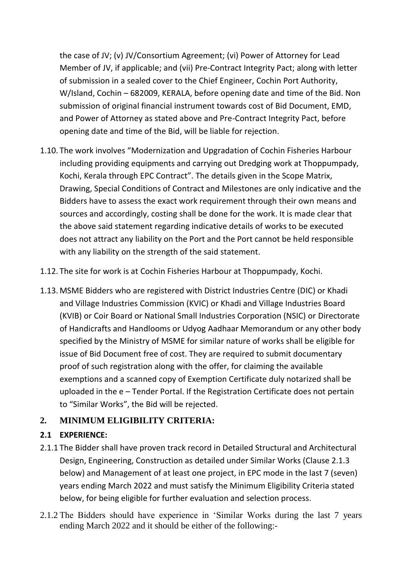the case of JV; (v) JV/Consortium Agreement; (vi) Power of Attorney for Lead Member of JV, if applicable; and (vii) Pre-Contract Integrity Pact; along with letter of submission in a sealed cover to the Chief Engineer, Cochin Port Authority, W/Island, Cochin – 682009, KERALA, before opening date and time of the Bid. Non submission of original financial instrument towards cost of Bid Document, EMD, and Power of Attorney as stated above and Pre-Contract Integrity Pact, before opening date and time of the Bid, will be liable for rejection.

- 1.10. The work involves "Modernization and Upgradation of Cochin Fisheries Harbour including providing equipments and carrying out Dredging work at Thoppumpady, Kochi, Kerala through EPC Contract". The details given in the Scope Matrix, Drawing, Special Conditions of Contract and Milestones are only indicative and the Bidders have to assess the exact work requirement through their own means and sources and accordingly, costing shall be done for the work. It is made clear that the above said statement regarding indicative details of works to be executed does not attract any liability on the Port and the Port cannot be held responsible with any liability on the strength of the said statement.
- 1.12. The site for work is at Cochin Fisheries Harbour at Thoppumpady, Kochi.
- 1.13. MSME Bidders who are registered with District Industries Centre (DIC) or Khadi and Village Industries Commission (KVIC) or Khadi and Village Industries Board (KVIB) or Coir Board or National Small Industries Corporation (NSIC) or Directorate of Handicrafts and Handlooms or Udyog Aadhaar Memorandum or any other body specified by the Ministry of MSME for similar nature of works shall be eligible for issue of Bid Document free of cost. They are required to submit documentary proof of such registration along with the offer, for claiming the available exemptions and a scanned copy of Exemption Certificate duly notarized shall be uploaded in the e – Tender Portal. If the Registration Certificate does not pertain to "Similar Works", the Bid will be rejected.

### **2. MINIMUM ELIGIBILITY CRITERIA:**

### **2.1 EXPERIENCE:**

- 2.1.1 The Bidder shall have proven track record in Detailed Structural and Architectural Design, Engineering, Construction as detailed under Similar Works (Clause 2.1.3 below) and Management of at least one project, in EPC mode in the last 7 (seven) years ending March 2022 and must satisfy the Minimum Eligibility Criteria stated below, for being eligible for further evaluation and selection process.
- 2.1.2 The Bidders should have experience in 'Similar Works during the last 7 years ending March 2022 and it should be either of the following:-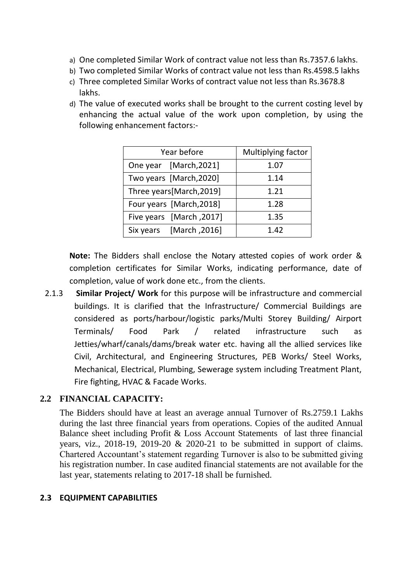- a) One completed Similar Work of contract value not less than Rs.7357.6 lakhs.
- b) Two completed Similar Works of contract value not less than Rs.4598.5 lakhs
- c) Three completed Similar Works of contract value not less than Rs.3678.8 lakhs.
- d) The value of executed works shall be brought to the current costing level by enhancing the actual value of the work upon completion, by using the following enhancement factors:-

| Year before              | Multiplying factor |
|--------------------------|--------------------|
| One year [March, 2021]   | 1.07               |
| Two years [March, 2020]  | 1.14               |
| Three years[March,2019]  | 1.21               |
| Four years [March, 2018] | 1.28               |
| Five years [March, 2017] | 1.35               |
| Six years [March, 2016]  | 1.42               |

**Note:** The Bidders shall enclose the Notary attested copies of work order & completion certificates for Similar Works, indicating performance, date of completion, value of work done etc., from the clients.

2.1.3 **Similar Project/ Work** for this purpose will be infrastructure and commercial buildings. It is clarified that the Infrastructure/ Commercial Buildings are considered as ports/harbour/logistic parks/Multi Storey Building/ Airport Terminals/ Food Park / related infrastructure such as Jetties/wharf/canals/dams/break water etc. having all the allied services like Civil, Architectural, and Engineering Structures, PEB Works/ Steel Works, Mechanical, Electrical, Plumbing, Sewerage system including Treatment Plant, Fire fighting, HVAC & Facade Works.

### **2.2 FINANCIAL CAPACITY:**

The Bidders should have at least an average annual Turnover of Rs.2759.1 Lakhs during the last three financial years from operations. Copies of the audited Annual Balance sheet including Profit & Loss Account Statements of last three financial years, viz., 2018-19, 2019-20 & 2020-21 to be submitted in support of claims. Chartered Accountant's statement regarding Turnover is also to be submitted giving his registration number. In case audited financial statements are not available for the last year, statements relating to 2017-18 shall be furnished.

#### **2.3 EQUIPMENT CAPABILITIES**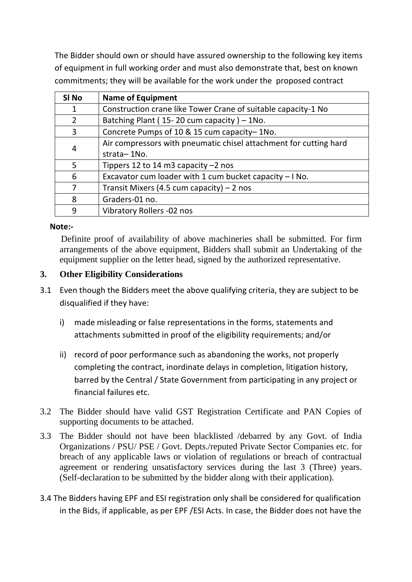The Bidder should own or should have assured ownership to the following key items of equipment in full working order and must also demonstrate that, best on known commitments; they will be available for the work under the proposed contract

| SI No          | <b>Name of Equipment</b>                                          |
|----------------|-------------------------------------------------------------------|
| 1              | Construction crane like Tower Crane of suitable capacity-1 No     |
| $\overline{2}$ | Batching Plant ( $15-20$ cum capacity) - 1No.                     |
| 3              | Concrete Pumps of 10 & 15 cum capacity-1No.                       |
| 4              | Air compressors with pneumatic chisel attachment for cutting hard |
|                | strata-1No.                                                       |
| 5              | Tippers 12 to 14 m3 capacity $-2$ nos                             |
| 6              | Excavator cum loader with 1 cum bucket capacity - I No.           |
| 7              | Transit Mixers (4.5 cum capacity) $-2$ nos                        |
| 8              | Graders-01 no.                                                    |
| 9              | Vibratory Rollers -02 nos                                         |

#### **Note:-**

 Definite proof of availability of above machineries shall be submitted. For firm arrangements of the above equipment, Bidders shall submit an Undertaking of the equipment supplier on the letter head, signed by the authorized representative.

#### **3. Other Eligibility Considerations**

- 3.1 Even though the Bidders meet the above qualifying criteria, they are subject to be disqualified if they have:
	- i) made misleading or false representations in the forms, statements and attachments submitted in proof of the eligibility requirements; and/or
	- ii) record of poor performance such as abandoning the works, not properly completing the contract, inordinate delays in completion, litigation history, barred by the Central / State Government from participating in any project or financial failures etc.
- 3.2 The Bidder should have valid GST Registration Certificate and PAN Copies of supporting documents to be attached.
- 3.3 The Bidder should not have been blacklisted /debarred by any Govt. of India Organizations / PSU/ PSE / Govt. Depts./reputed Private Sector Companies etc. for breach of any applicable laws or violation of regulations or breach of contractual agreement or rendering unsatisfactory services during the last 3 (Three) years. (Self-declaration to be submitted by the bidder along with their application).
- 3.4 The Bidders having EPF and ESI registration only shall be considered for qualification in the Bids, if applicable, as per EPF /ESI Acts. In case, the Bidder does not have the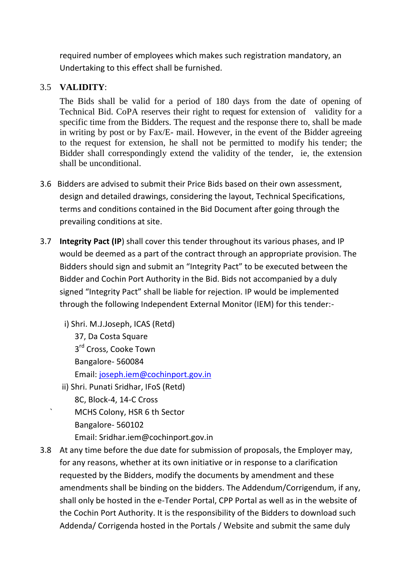required number of employees which makes such registration mandatory, an Undertaking to this effect shall be furnished.

#### 3.5 **VALIDITY**:

The Bids shall be valid for a period of 180 days from the date of opening of Technical Bid. CoPA reserves their right to request for extension of validity for a specific time from the Bidders. The request and the response there to, shall be made in writing by post or by Fax/E- mail. However, in the event of the Bidder agreeing to the request for extension, he shall not be permitted to modify his tender; the Bidder shall correspondingly extend the validity of the tender, ie, the extension shall be unconditional.

- 3.6 Bidders are advised to submit their Price Bids based on their own assessment, design and detailed drawings, considering the layout, Technical Specifications, terms and conditions contained in the Bid Document after going through the prevailing conditions at site.
- 3.7 **Integrity Pact (IP**) shall cover this tender throughout its various phases, and IP would be deemed as a part of the contract through an appropriate provision. The Bidders should sign and submit an "Integrity Pact" to be executed between the Bidder and Cochin Port Authority in the Bid. Bids not accompanied by a duly signed "Integrity Pact" shall be liable for rejection. IP would be implemented through the following Independent External Monitor (IEM) for this tender:
	- i) Shri. M.J.Joseph, ICAS (Retd) 37, Da Costa Square 3<sup>rd</sup> Cross, Cooke Town Bangalore- 560084 Email: [joseph.iem@cochinport.gov.in](mailto:joseph.iem@cochinport.gov.in) ii) Shri. Punati Sridhar, IFoS (Retd) 8C, Block-4, 14-C Cross ` MCHS Colony, HSR 6 th Sector
		- Bangalore- 560102
			- Email: Sridhar.iem@cochinport.gov.in
- 3.8 At any time before the due date for submission of proposals, the Employer may, for any reasons, whether at its own initiative or in response to a clarification requested by the Bidders, modify the documents by amendment and these amendments shall be binding on the bidders. The Addendum/Corrigendum, if any, shall only be hosted in the e-Tender Portal, CPP Portal as well as in the website of the Cochin Port Authority. It is the responsibility of the Bidders to download such Addenda/ Corrigenda hosted in the Portals / Website and submit the same duly